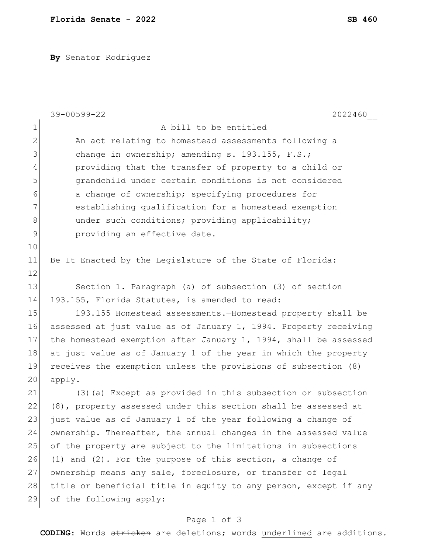**By** Senator Rodriguez

|                | 39-00599-22<br>2022460                                           |
|----------------|------------------------------------------------------------------|
| $\mathbf{1}$   | A bill to be entitled                                            |
| $\mathbf{2}$   | An act relating to homestead assessments following a             |
| 3              | change in ownership; amending s. 193.155, F.S.;                  |
| $\overline{4}$ | providing that the transfer of property to a child or            |
| 5              | grandchild under certain conditions is not considered            |
| 6              | a change of ownership; specifying procedures for                 |
| 7              | establishing qualification for a homestead exemption             |
| 8              | under such conditions; providing applicability;                  |
| $\mathsf 9$    | providing an effective date.                                     |
| 10             |                                                                  |
| 11             | Be It Enacted by the Legislature of the State of Florida:        |
| 12             |                                                                  |
| 13             | Section 1. Paragraph (a) of subsection (3) of section            |
| 14             | 193.155, Florida Statutes, is amended to read:                   |
| 15             | 193.155 Homestead assessments.-Homestead property shall be       |
| 16             | assessed at just value as of January 1, 1994. Property receiving |
| 17             | the homestead exemption after January 1, 1994, shall be assessed |
| 18             | at just value as of January 1 of the year in which the property  |
| 19             | receives the exemption unless the provisions of subsection (8)   |
| 20             | apply.                                                           |
| 21             | (3) (a) Except as provided in this subsection or subsection      |
| 22             | (8), property assessed under this section shall be assessed at   |
| 23             | just value as of January 1 of the year following a change of     |
| 24             | ownership. Thereafter, the annual changes in the assessed value  |
| 25             | of the property are subject to the limitations in subsections    |
| 26             | $(1)$ and $(2)$ . For the purpose of this section, a change of   |
| 27             | ownership means any sale, foreclosure, or transfer of legal      |
| 28             | title or beneficial title in equity to any person, except if any |
| 29             | of the following apply:                                          |

## Page 1 of 3

**CODING**: Words stricken are deletions; words underlined are additions.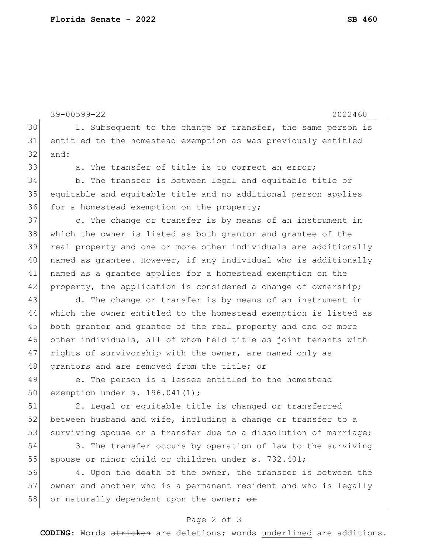```
39-00599-22 2022460__
30 1. Subsequent to the change or transfer, the same person is
31 entitled to the homestead exemption as was previously entitled 
32 and:
33 a. The transfer of title is to correct an error;
34 b. The transfer is between legal and equitable title or 
35 equitable and equitable title and no additional person applies 
36 for a homestead exemption on the property;
37 c. The change or transfer is by means of an instrument in
38 which the owner is listed as both grantor and grantee of the 
39 real property and one or more other individuals are additionally 
40 | named as grantee. However, if any individual who is additionally
41 | named as a grantee applies for a homestead exemption on the
42 property, the application is considered a change of ownership;
43 d. The change or transfer is by means of an instrument in
44 which the owner entitled to the homestead exemption is listed as 
45 both grantor and grantee of the real property and one or more
46 other individuals, all of whom held title as joint tenants with 
47 rights of survivorship with the owner, are named only as
48 grantors and are removed from the title; or
49 e. The person is a lessee entitled to the homestead
50 exemption under s. 196.041(1);
51 2. Legal or equitable title is changed or transferred 
52 between husband and wife, including a change or transfer to a
53 surviving spouse or a transfer due to a dissolution of marriage;
54 3. The transfer occurs by operation of law to the surviving 
55 spouse or minor child or children under s. 732.401;
56 4. Upon the death of the owner, the transfer is between the
57 owner and another who is a permanent resident and who is legally 
58 or naturally dependent upon the owner; \thetar
```
## Page 2 of 3

**CODING**: Words stricken are deletions; words underlined are additions.